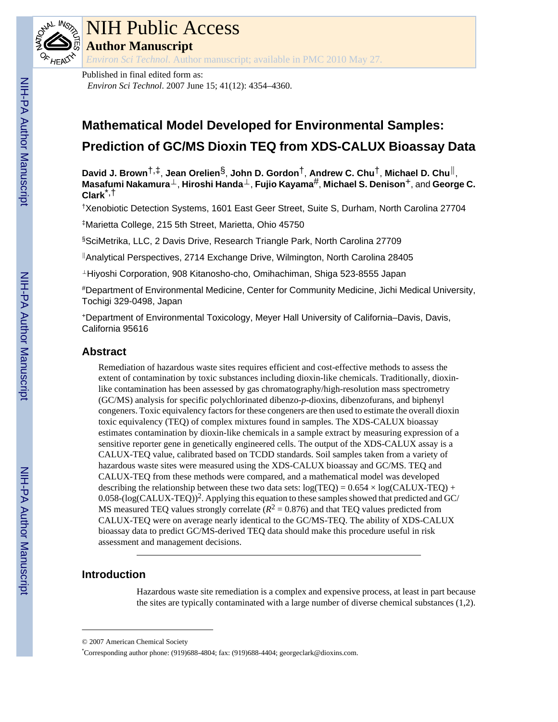

# NIH Public Access

**Author Manuscript**

*Environ Sci Technol*. Author manuscript; available in PMC 2010 May 27.

Published in final edited form as: *Environ Sci Technol*. 2007 June 15; 41(12): 4354–4360.

# **Mathematical Model Developed for Environmental Samples: Prediction of GC/MS Dioxin TEQ from XDS-CALUX Bioassay Data**

**David J. Brown**†,‡, **Jean Orelien**§, **John D. Gordon**†, **Andrew C. Chu**†, **Michael D. Chu**∥, **Masafumi Nakamura**⊥, **Hiroshi Handa**⊥, **Fujio Kayama**#, **Michael S. Denison**+, and **George C. Clark**\*,†

†Xenobiotic Detection Systems, 1601 East Geer Street, Suite S, Durham, North Carolina 27704

‡Marietta College, 215 5th Street, Marietta, Ohio 45750

§SciMetrika, LLC, 2 Davis Drive, Research Triangle Park, North Carolina 27709

<sup>∥</sup>Analytical Perspectives, 2714 Exchange Drive, Wilmington, North Carolina 28405

<sup>⊥</sup>Hiyoshi Corporation, 908 Kitanosho-cho, Omihachiman, Shiga 523-8555 Japan

#Department of Environmental Medicine, Center for Community Medicine, Jichi Medical University, Tochigi 329-0498, Japan

<sup>+</sup>Department of Environmental Toxicology, Meyer Hall University of California–Davis, Davis, California 95616

# **Abstract**

Remediation of hazardous waste sites requires efficient and cost-effective methods to assess the extent of contamination by toxic substances including dioxin-like chemicals. Traditionally, dioxinlike contamination has been assessed by gas chromatography/high-resolution mass spectrometry (GC/MS) analysis for specific polychlorinated dibenzo-*p*-dioxins, dibenzofurans, and biphenyl congeners. Toxic equivalency factors for these congeners are then used to estimate the overall dioxin toxic equivalency (TEQ) of complex mixtures found in samples. The XDS-CALUX bioassay estimates contamination by dioxin-like chemicals in a sample extract by measuring expression of a sensitive reporter gene in genetically engineered cells. The output of the XDS-CALUX assay is a CALUX-TEQ value, calibrated based on TCDD standards. Soil samples taken from a variety of hazardous waste sites were measured using the XDS-CALUX bioassay and GC/MS. TEQ and CALUX-TEQ from these methods were compared, and a mathematical model was developed describing the relationship between these two data sets:  $log(TEO) = 0.654 \times log(CALUX-TEO) +$ 0.058-( $log(CALUX-TEQ)$ )<sup>2</sup>. Applying this equation to these samples showed that predicted and GC/ MS measured TEQ values strongly correlate  $(R^2 = 0.876)$  and that TEQ values predicted from CALUX-TEQ were on average nearly identical to the GC/MS-TEQ. The ability of XDS-CALUX bioassay data to predict GC/MS-derived TEQ data should make this procedure useful in risk assessment and management decisions.

# **Introduction**

Hazardous waste site remediation is a complex and expensive process, at least in part because the sites are typically contaminated with a large number of diverse chemical substances (1,2).

<sup>© 2007</sup> American Chemical Society

<sup>\*</sup>Corresponding author phone: (919)688-4804; fax: (919)688-4404; georgeclark@dioxins.com.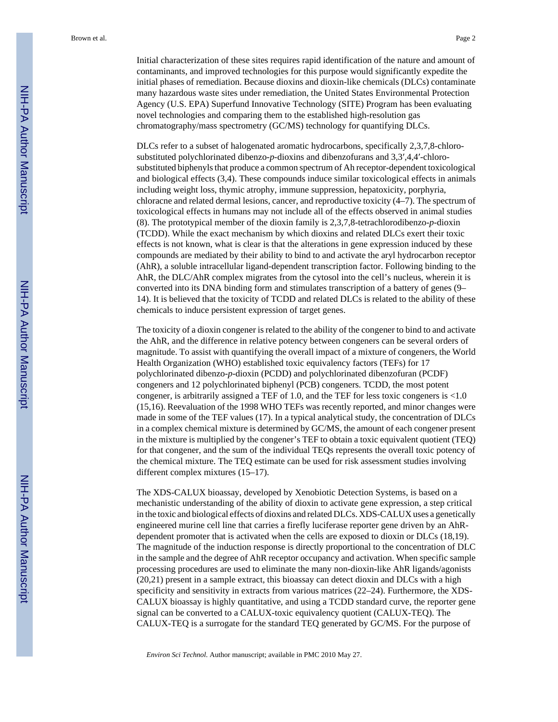Initial characterization of these sites requires rapid identification of the nature and amount of contaminants, and improved technologies for this purpose would significantly expedite the initial phases of remediation. Because dioxins and dioxin-like chemicals (DLCs) contaminate many hazardous waste sites under remediation, the United States Environmental Protection Agency (U.S. EPA) Superfund Innovative Technology (SITE) Program has been evaluating novel technologies and comparing them to the established high-resolution gas chromatography/mass spectrometry (GC/MS) technology for quantifying DLCs.

DLCs refer to a subset of halogenated aromatic hydrocarbons, specifically 2,3,7,8-chlorosubstituted polychlorinated dibenzo-*p*-dioxins and dibenzofurans and 3,3′,4,4′-chlorosubstituted biphenyls that produce a common spectrum of Ah receptor-dependent toxicological and biological effects (3,4). These compounds induce similar toxicological effects in animals including weight loss, thymic atrophy, immune suppression, hepatoxicity, porphyria, chloracne and related dermal lesions, cancer, and reproductive toxicity (4–7). The spectrum of toxicological effects in humans may not include all of the effects observed in animal studies (8). The prototypical member of the dioxin family is 2,3,7,8-tetrachlorodibenzo-*p*-dioxin (TCDD). While the exact mechanism by which dioxins and related DLCs exert their toxic effects is not known, what is clear is that the alterations in gene expression induced by these compounds are mediated by their ability to bind to and activate the aryl hydrocarbon receptor (AhR), a soluble intracellular ligand-dependent transcription factor. Following binding to the AhR, the DLC/AhR complex migrates from the cytosol into the cell's nucleus, wherein it is converted into its DNA binding form and stimulates transcription of a battery of genes (9– 14). It is believed that the toxicity of TCDD and related DLCs is related to the ability of these chemicals to induce persistent expression of target genes.

The toxicity of a dioxin congener is related to the ability of the congener to bind to and activate the AhR, and the difference in relative potency between congeners can be several orders of magnitude. To assist with quantifying the overall impact of a mixture of congeners, the World Health Organization (WHO) established toxic equivalency factors (TEFs) for 17 polychlorinated dibenzo-*p*-dioxin (PCDD) and polychlorinated dibenzofuran (PCDF) congeners and 12 polychlorinated biphenyl (PCB) congeners. TCDD, the most potent congener, is arbitrarily assigned a TEF of 1.0, and the TEF for less toxic congeners is <1.0 (15,16). Reevaluation of the 1998 WHO TEFs was recently reported, and minor changes were made in some of the TEF values (17). In a typical analytical study, the concentration of DLCs in a complex chemical mixture is determined by GC/MS, the amount of each congener present in the mixture is multiplied by the congener's TEF to obtain a toxic equivalent quotient (TEQ) for that congener, and the sum of the individual TEQs represents the overall toxic potency of the chemical mixture. The TEQ estimate can be used for risk assessment studies involving different complex mixtures (15–17).

The XDS-CALUX bioassay, developed by Xenobiotic Detection Systems, is based on a mechanistic understanding of the ability of dioxin to activate gene expression, a step critical in the toxic and biological effects of dioxins and related DLCs. XDS-CALUX uses a genetically engineered murine cell line that carries a firefly luciferase reporter gene driven by an AhRdependent promoter that is activated when the cells are exposed to dioxin or DLCs (18,19). The magnitude of the induction response is directly proportional to the concentration of DLC in the sample and the degree of AhR receptor occupancy and activation. When specific sample processing procedures are used to eliminate the many non-dioxin-like AhR ligands/agonists (20,21) present in a sample extract, this bioassay can detect dioxin and DLCs with a high specificity and sensitivity in extracts from various matrices (22–24). Furthermore, the XDS-CALUX bioassay is highly quantitative, and using a TCDD standard curve, the reporter gene signal can be converted to a CALUX-toxic equivalency quotient (CALUX-TEQ). The CALUX-TEQ is a surrogate for the standard TEQ generated by GC/MS. For the purpose of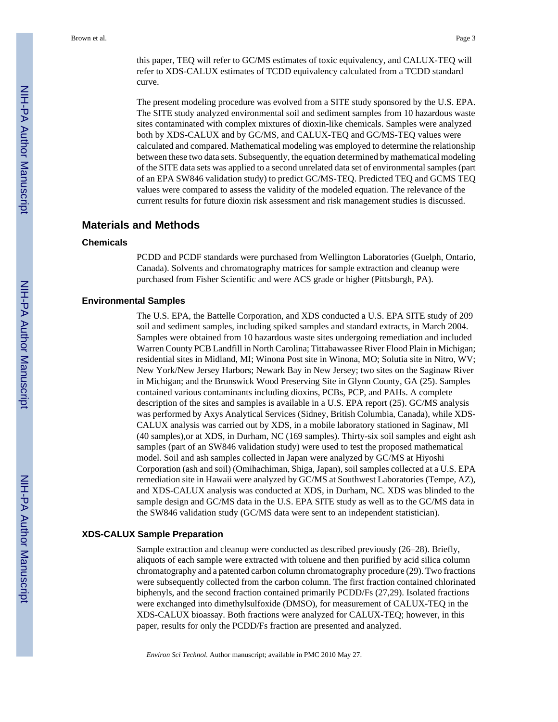this paper, TEQ will refer to GC/MS estimates of toxic equivalency, and CALUX-TEQ will refer to XDS-CALUX estimates of TCDD equivalency calculated from a TCDD standard curve.

The present modeling procedure was evolved from a SITE study sponsored by the U.S. EPA. The SITE study analyzed environmental soil and sediment samples from 10 hazardous waste sites contaminated with complex mixtures of dioxin-like chemicals. Samples were analyzed both by XDS-CALUX and by GC/MS, and CALUX-TEQ and GC/MS-TEQ values were calculated and compared. Mathematical modeling was employed to determine the relationship between these two data sets. Subsequently, the equation determined by mathematical modeling of the SITE data sets was applied to a second unrelated data set of environmental samples (part of an EPA SW846 validation study) to predict GC/MS-TEQ. Predicted TEQ and GCMS TEQ values were compared to assess the validity of the modeled equation. The relevance of the current results for future dioxin risk assessment and risk management studies is discussed.

## **Materials and Methods**

#### **Chemicals**

PCDD and PCDF standards were purchased from Wellington Laboratories (Guelph, Ontario, Canada). Solvents and chromatography matrices for sample extraction and cleanup were purchased from Fisher Scientific and were ACS grade or higher (Pittsburgh, PA).

#### **Environmental Samples**

The U.S. EPA, the Battelle Corporation, and XDS conducted a U.S. EPA SITE study of 209 soil and sediment samples, including spiked samples and standard extracts, in March 2004. Samples were obtained from 10 hazardous waste sites undergoing remediation and included Warren County PCB Landfill in North Carolina; Tittabawassee River Flood Plain in Michigan; residential sites in Midland, MI; Winona Post site in Winona, MO; Solutia site in Nitro, WV; New York/New Jersey Harbors; Newark Bay in New Jersey; two sites on the Saginaw River in Michigan; and the Brunswick Wood Preserving Site in Glynn County, GA (25). Samples contained various contaminants including dioxins, PCBs, PCP, and PAHs. A complete description of the sites and samples is available in a U.S. EPA report (25). GC/MS analysis was performed by Axys Analytical Services (Sidney, British Columbia, Canada), while XDS-CALUX analysis was carried out by XDS, in a mobile laboratory stationed in Saginaw, MI (40 samples),or at XDS, in Durham, NC (169 samples). Thirty-six soil samples and eight ash samples (part of an SW846 validation study) were used to test the proposed mathematical model. Soil and ash samples collected in Japan were analyzed by GC/MS at Hiyoshi Corporation (ash and soil) (Omihachiman, Shiga, Japan), soil samples collected at a U.S. EPA remediation site in Hawaii were analyzed by GC/MS at Southwest Laboratories (Tempe, AZ), and XDS-CALUX analysis was conducted at XDS, in Durham, NC. XDS was blinded to the sample design and GC/MS data in the U.S. EPA SITE study as well as to the GC/MS data in the SW846 validation study (GC/MS data were sent to an independent statistician).

#### **XDS-CALUX Sample Preparation**

Sample extraction and cleanup were conducted as described previously (26–28). Briefly, aliquots of each sample were extracted with toluene and then purified by acid silica column chromatography and a patented carbon column chromatography procedure (29). Two fractions were subsequently collected from the carbon column. The first fraction contained chlorinated biphenyls, and the second fraction contained primarily PCDD/Fs (27,29). Isolated fractions were exchanged into dimethylsulfoxide (DMSO), for measurement of CALUX-TEQ in the XDS-CALUX bioassay. Both fractions were analyzed for CALUX-TEQ; however, in this paper, results for only the PCDD/Fs fraction are presented and analyzed.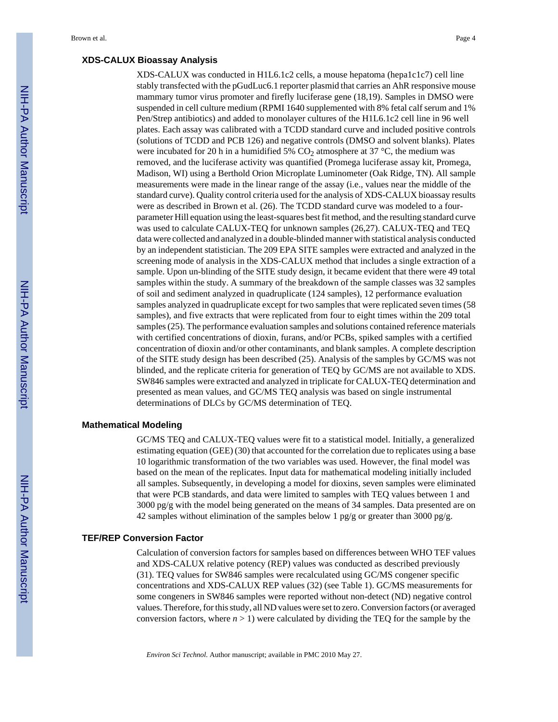#### **XDS-CALUX Bioassay Analysis**

XDS-CALUX was conducted in H1L6.1c2 cells, a mouse hepatoma (hepa1c1c7) cell line stably transfected with the pGudLuc6.1 reporter plasmid that carries an AhR responsive mouse mammary tumor virus promoter and firefly luciferase gene (18,19). Samples in DMSO were suspended in cell culture medium (RPMI 1640 supplemented with 8% fetal calf serum and 1% Pen/Strep antibiotics) and added to monolayer cultures of the H1L6.1c2 cell line in 96 well plates. Each assay was calibrated with a TCDD standard curve and included positive controls (solutions of TCDD and PCB 126) and negative controls (DMSO and solvent blanks). Plates were incubated for 20 h in a humidified 5%  $CO_2$  atmosphere at 37 °C, the medium was removed, and the luciferase activity was quantified (Promega luciferase assay kit, Promega, Madison, WI) using a Berthold Orion Microplate Luminometer (Oak Ridge, TN). All sample measurements were made in the linear range of the assay (i.e., values near the middle of the standard curve). Quality control criteria used for the analysis of XDS-CALUX bioassay results were as described in Brown et al. (26). The TCDD standard curve was modeled to a fourparameter Hill equation using the least-squares best fit method, and the resulting standard curve was used to calculate CALUX-TEQ for unknown samples (26,27). CALUX-TEQ and TEQ data were collected and analyzed in a double-blinded manner with statistical analysis conducted by an independent statistician. The 209 EPA SITE samples were extracted and analyzed in the screening mode of analysis in the XDS-CALUX method that includes a single extraction of a sample. Upon un-blinding of the SITE study design, it became evident that there were 49 total samples within the study. A summary of the breakdown of the sample classes was 32 samples of soil and sediment analyzed in quadruplicate (124 samples), 12 performance evaluation samples analyzed in quadruplicate except for two samples that were replicated seven times (58 samples), and five extracts that were replicated from four to eight times within the 209 total samples (25). The performance evaluation samples and solutions contained reference materials with certified concentrations of dioxin, furans, and/or PCBs, spiked samples with a certified concentration of dioxin and/or other contaminants, and blank samples. A complete description of the SITE study design has been described (25). Analysis of the samples by GC/MS was not blinded, and the replicate criteria for generation of TEQ by GC/MS are not available to XDS. SW846 samples were extracted and analyzed in triplicate for CALUX-TEQ determination and presented as mean values, and GC/MS TEQ analysis was based on single instrumental determinations of DLCs by GC/MS determination of TEQ.

#### **Mathematical Modeling**

GC/MS TEQ and CALUX-TEQ values were fit to a statistical model. Initially, a generalized estimating equation (GEE) (30) that accounted for the correlation due to replicates using a base 10 logarithmic transformation of the two variables was used. However, the final model was based on the mean of the replicates. Input data for mathematical modeling initially included all samples. Subsequently, in developing a model for dioxins, seven samples were eliminated that were PCB standards, and data were limited to samples with TEQ values between 1 and 3000 pg/g with the model being generated on the means of 34 samples. Data presented are on 42 samples without elimination of the samples below 1 pg/g or greater than 3000 pg/g.

#### **TEF/REP Conversion Factor**

Calculation of conversion factors for samples based on differences between WHO TEF values and XDS-CALUX relative potency (REP) values was conducted as described previously (31). TEQ values for SW846 samples were recalculated using GC/MS congener specific concentrations and XDS-CALUX REP values (32) (see Table 1). GC/MS measurements for some congeners in SW846 samples were reported without non-detect (ND) negative control values. Therefore, for this study, all ND values were set to zero. Conversion factors (or averaged conversion factors, where  $n > 1$ ) were calculated by dividing the TEQ for the sample by the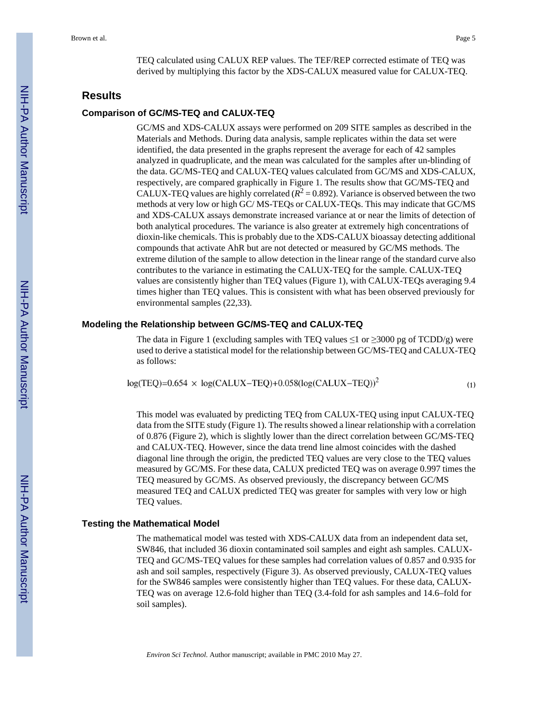TEQ calculated using CALUX REP values. The TEF/REP corrected estimate of TEQ was derived by multiplying this factor by the XDS-CALUX measured value for CALUX-TEQ.

## **Results**

#### **Comparison of GC/MS-TEQ and CALUX-TEQ**

GC/MS and XDS-CALUX assays were performed on 209 SITE samples as described in the Materials and Methods. During data analysis, sample replicates within the data set were identified, the data presented in the graphs represent the average for each of 42 samples analyzed in quadruplicate, and the mean was calculated for the samples after un-blinding of the data. GC/MS-TEQ and CALUX-TEQ values calculated from GC/MS and XDS-CALUX, respectively, are compared graphically in Figure 1. The results show that GC/MS-TEQ and CALUX-TEQ values are highly correlated ( $R^2$  = 0.892). Variance is observed between the two methods at very low or high GC/ MS-TEQs or CALUX-TEQs. This may indicate that GC/MS and XDS-CALUX assays demonstrate increased variance at or near the limits of detection of both analytical procedures. The variance is also greater at extremely high concentrations of dioxin-like chemicals. This is probably due to the XDS-CALUX bioassay detecting additional compounds that activate AhR but are not detected or measured by GC/MS methods. The extreme dilution of the sample to allow detection in the linear range of the standard curve also contributes to the variance in estimating the CALUX-TEQ for the sample. CALUX-TEQ values are consistently higher than TEQ values (Figure 1), with CALUX-TEQs averaging 9.4 times higher than TEQ values. This is consistent with what has been observed previously for environmental samples (22,33).

#### **Modeling the Relationship between GC/MS-TEQ and CALUX-TEQ**

The data in Figure 1 (excluding samples with TEQ values  $\leq 1$  or  $\geq 3000$  pg of TCDD/g) were used to derive a statistical model for the relationship between GC/MS-TEQ and CALUX-TEQ as follows:

 $log(TEQ) = 0.654 \times log(CALUX - TEQ) + 0.058(log(CALUX - TEQ))^{2}$ (1)

This model was evaluated by predicting TEQ from CALUX-TEQ using input CALUX-TEQ data from the SITE study (Figure 1). The results showed a linear relationship with a correlation of 0.876 (Figure 2), which is slightly lower than the direct correlation between GC/MS-TEQ and CALUX-TEQ. However, since the data trend line almost coincides with the dashed diagonal line through the origin, the predicted TEQ values are very close to the TEQ values measured by GC/MS. For these data, CALUX predicted TEQ was on average 0.997 times the TEQ measured by GC/MS. As observed previously, the discrepancy between GC/MS measured TEQ and CALUX predicted TEQ was greater for samples with very low or high TEQ values.

#### **Testing the Mathematical Model**

The mathematical model was tested with XDS-CALUX data from an independent data set, SW846, that included 36 dioxin contaminated soil samples and eight ash samples. CALUX-TEQ and GC/MS-TEQ values for these samples had correlation values of 0.857 and 0.935 for ash and soil samples, respectively (Figure 3). As observed previously, CALUX-TEQ values for the SW846 samples were consistently higher than TEQ values. For these data, CALUX-TEQ was on average 12.6-fold higher than TEQ (3.4-fold for ash samples and 14.6–fold for soil samples).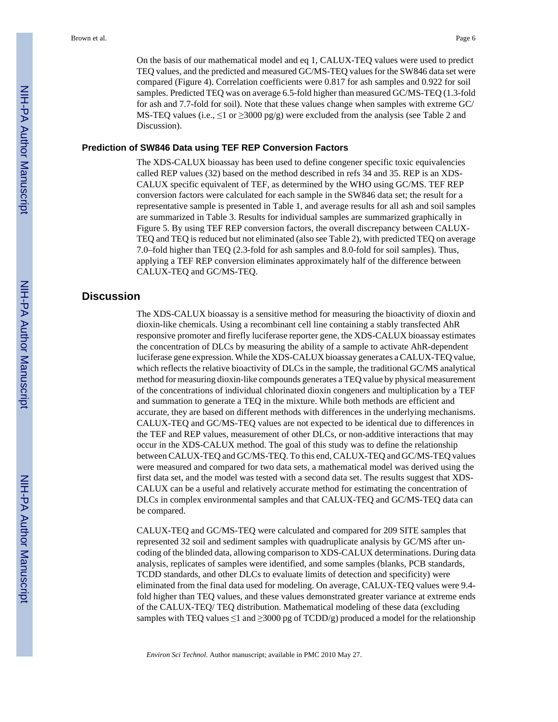On the basis of our mathematical model and eq 1, CALUX-TEQ values were used to predict TEQ values, and the predicted and measured GC/MS-TEQ values for the SW846 data set were compared (Figure 4). Correlation coefficients were 0.817 for ash samples and 0.922 for soil samples. Predicted TEQ was on average 6.5-fold higher than measured GC/MS-TEQ (1.3-fold for ash and 7.7-fold for soil). Note that these values change when samples with extreme GC/ MS-TEQ values (i.e.,  $\leq 1$  or  $\geq 3000$  pg/g) were excluded from the analysis (see Table 2 and Discussion).

#### **Prediction of SW846 Data using TEF REP Conversion Factors**

The XDS-CALUX bioassay has been used to define congener specific toxic equivalencies called REP values (32) based on the method described in refs 34 and 35. REP is an XDS-CALUX specific equivalent of TEF, as determined by the WHO using GC/MS. TEF REP conversion factors were calculated for each sample in the SW846 data set; the result for a representative sample is presented in Table 1, and average results for all ash and soil samples are summarized in Table 3. Results for individual samples are summarized graphically in Figure 5. By using TEF REP conversion factors, the overall discrepancy between CALUX-TEQ and TEQ is reduced but not eliminated (also see Table 2), with predicted TEQ on average 7.0–fold higher than TEQ (2.3-fold for ash samples and 8.0-fold for soil samples). Thus, applying a TEF REP conversion eliminates approximately half of the difference between CALUX-TEQ and GC/MS-TEQ.

### **Discussion**

The XDS-CALUX bioassay is a sensitive method for measuring the bioactivity of dioxin and dioxin-like chemicals. Using a recombinant cell line containing a stably transfected AhR responsive promoter and firefly luciferase reporter gene, the XDS-CALUX bioassay estimates the concentration of DLCs by measuring the ability of a sample to activate AhR-dependent luciferase gene expression. While the XDS-CALUX bioassay generates a CALUX-TEQ value, which reflects the relative bioactivity of DLCs in the sample, the traditional GC/MS analytical method for measuring dioxin-like compounds generates a TEQ value by physical measurement of the concentrations of individual chlorinated dioxin congeners and multiplication by a TEF and summation to generate a TEQ in the mixture. While both methods are efficient and accurate, they are based on different methods with differences in the underlying mechanisms. CALUX-TEQ and GC/MS-TEQ values are not expected to be identical due to differences in the TEF and REP values, measurement of other DLCs, or non-additive interactions that may occur in the XDS-CALUX method. The goal of this study was to define the relationship between CALUX-TEQ and GC/MS-TEQ. To this end, CALUX-TEQ and GC/MS-TEQ values were measured and compared for two data sets, a mathematical model was derived using the first data set, and the model was tested with a second data set. The results suggest that XDS-CALUX can be a useful and relatively accurate method for estimating the concentration of DLCs in complex environmental samples and that CALUX-TEQ and GC/MS-TEQ data can be compared.

CALUX-TEQ and GC/MS-TEQ were calculated and compared for 209 SITE samples that represented 32 soil and sediment samples with quadruplicate analysis by GC/MS after uncoding of the blinded data, allowing comparison to XDS-CALUX determinations. During data analysis, replicates of samples were identified, and some samples (blanks, PCB standards, TCDD standards, and other DLCs to evaluate limits of detection and specificity) were eliminated from the final data used for modeling. On average, CALUX-TEQ values were 9.4 fold higher than TEQ values, and these values demonstrated greater variance at extreme ends of the CALUX-TEQ/ TEQ distribution. Mathematical modeling of these data (excluding samples with TEQ values  $\leq 1$  and  $\geq 3000$  pg of TCDD/g) produced a model for the relationship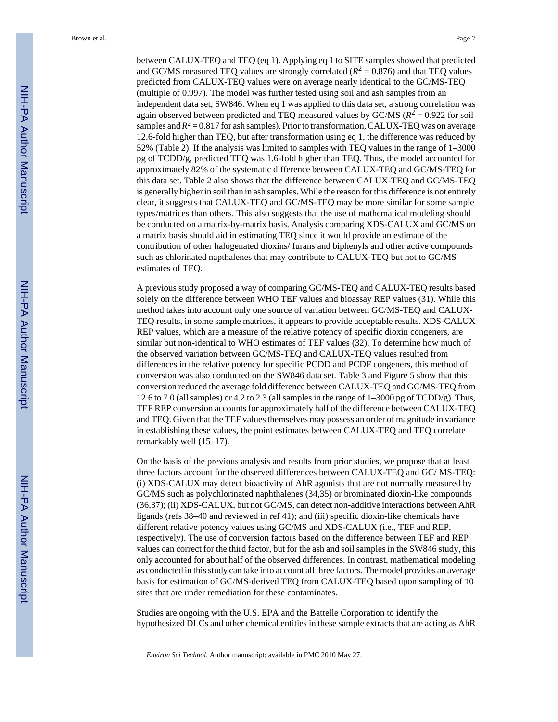between CALUX-TEQ and TEQ (eq 1). Applying eq 1 to SITE samples showed that predicted and GC/MS measured TEQ values are strongly correlated ( $R^2 = 0.876$ ) and that TEQ values predicted from CALUX-TEQ values were on average nearly identical to the GC/MS-TEQ (multiple of 0.997). The model was further tested using soil and ash samples from an independent data set, SW846. When eq 1 was applied to this data set, a strong correlation was again observed between predicted and TEQ measured values by GC/MS ( $R^2$  = 0.922 for soil samples and  $R^2$  = 0.817 for ash samples). Prior to transformation, CALUX-TEQ was on average 12.6-fold higher than TEQ, but after transformation using eq 1, the difference was reduced by 52% (Table 2). If the analysis was limited to samples with TEQ values in the range of 1–3000 pg of TCDD/g, predicted TEQ was 1.6-fold higher than TEQ. Thus, the model accounted for approximately 82% of the systematic difference between CALUX-TEQ and GC/MS-TEQ for this data set. Table 2 also shows that the difference between CALUX-TEQ and GC/MS-TEQ is generally higher in soil than in ash samples. While the reason for this difference is not entirely clear, it suggests that CALUX-TEQ and GC/MS-TEQ may be more similar for some sample types/matrices than others. This also suggests that the use of mathematical modeling should be conducted on a matrix-by-matrix basis. Analysis comparing XDS-CALUX and GC/MS on a matrix basis should aid in estimating TEQ since it would provide an estimate of the contribution of other halogenated dioxins/ furans and biphenyls and other active compounds such as chlorinated napthalenes that may contribute to CALUX-TEQ but not to GC/MS estimates of TEQ.

A previous study proposed a way of comparing GC/MS-TEQ and CALUX-TEQ results based solely on the difference between WHO TEF values and bioassay REP values (31). While this method takes into account only one source of variation between GC/MS-TEQ and CALUX-TEQ results, in some sample matrices, it appears to provide acceptable results. XDS-CALUX REP values, which are a measure of the relative potency of specific dioxin congeners, are similar but non-identical to WHO estimates of TEF values (32). To determine how much of the observed variation between GC/MS-TEQ and CALUX-TEQ values resulted from differences in the relative potency for specific PCDD and PCDF congeners, this method of conversion was also conducted on the SW846 data set. Table 3 and Figure 5 show that this conversion reduced the average fold difference between CALUX-TEQ and GC/MS-TEQ from 12.6 to 7.0 (all samples) or 4.2 to 2.3 (all samples in the range of  $1-3000$  pg of  $TCDD/g$ ). Thus, TEF REP conversion accounts for approximately half of the difference between CALUX-TEQ and TEQ. Given that the TEF values themselves may possess an order of magnitude in variance in establishing these values, the point estimates between CALUX-TEQ and TEQ correlate remarkably well (15–17).

On the basis of the previous analysis and results from prior studies, we propose that at least three factors account for the observed differences between CALUX-TEQ and GC/ MS-TEQ: (i) XDS-CALUX may detect bioactivity of AhR agonists that are not normally measured by GC/MS such as polychlorinated naphthalenes (34,35) or brominated dioxin-like compounds (36,37); (ii) XDS-CALUX, but not GC/MS, can detect non-additive interactions between AhR ligands (refs 38–40 and reviewed in ref 41); and (iii) specific dioxin-like chemicals have different relative potency values using GC/MS and XDS-CALUX (i.e., TEF and REP, respectively). The use of conversion factors based on the difference between TEF and REP values can correct for the third factor, but for the ash and soil samples in the SW846 study, this only accounted for about half of the observed differences. In contrast, mathematical modeling as conducted in this study can take into account all three factors. The model provides an average basis for estimation of GC/MS-derived TEQ from CALUX-TEQ based upon sampling of 10 sites that are under remediation for these contaminates.

Studies are ongoing with the U.S. EPA and the Battelle Corporation to identify the hypothesized DLCs and other chemical entities in these sample extracts that are acting as AhR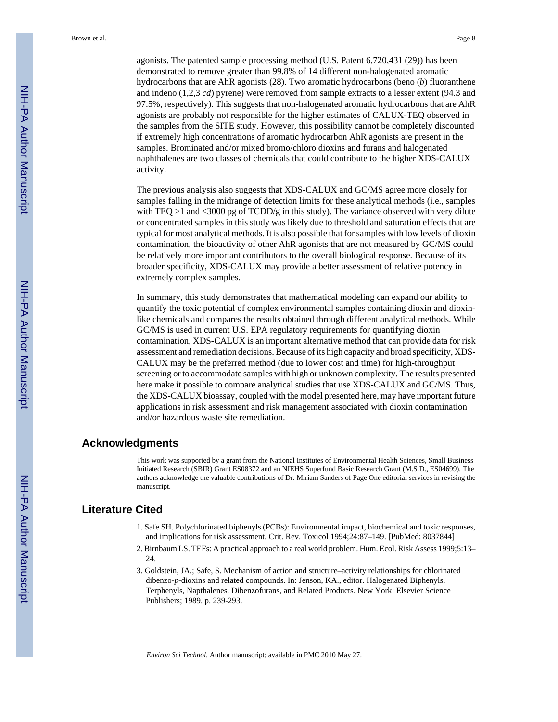agonists. The patented sample processing method (U.S. Patent 6,720,431 (29)) has been demonstrated to remove greater than 99.8% of 14 different non-halogenated aromatic hydrocarbons that are AhR agonists (28). Two aromatic hydrocarbons (beno (*b*) fluoranthene and indeno (1,2,3 *cd*) pyrene) were removed from sample extracts to a lesser extent (94.3 and 97.5%, respectively). This suggests that non-halogenated aromatic hydrocarbons that are AhR agonists are probably not responsible for the higher estimates of CALUX-TEQ observed in the samples from the SITE study. However, this possibility cannot be completely discounted if extremely high concentrations of aromatic hydrocarbon AhR agonists are present in the samples. Brominated and/or mixed bromo/chloro dioxins and furans and halogenated naphthalenes are two classes of chemicals that could contribute to the higher XDS-CALUX activity.

The previous analysis also suggests that XDS-CALUX and GC/MS agree more closely for samples falling in the midrange of detection limits for these analytical methods (i.e., samples with TEQ  $>1$  and  $<3000$  pg of TCDD/g in this study). The variance observed with very dilute or concentrated samples in this study was likely due to threshold and saturation effects that are typical for most analytical methods. It is also possible that for samples with low levels of dioxin contamination, the bioactivity of other AhR agonists that are not measured by GC/MS could be relatively more important contributors to the overall biological response. Because of its broader specificity, XDS-CALUX may provide a better assessment of relative potency in extremely complex samples.

In summary, this study demonstrates that mathematical modeling can expand our ability to quantify the toxic potential of complex environmental samples containing dioxin and dioxinlike chemicals and compares the results obtained through different analytical methods. While GC/MS is used in current U.S. EPA regulatory requirements for quantifying dioxin contamination, XDS-CALUX is an important alternative method that can provide data for risk assessment and remediation decisions. Because of its high capacity and broad specificity, XDS-CALUX may be the preferred method (due to lower cost and time) for high-throughput screening or to accommodate samples with high or unknown complexity. The results presented here make it possible to compare analytical studies that use XDS-CALUX and GC/MS. Thus, the XDS-CALUX bioassay, coupled with the model presented here, may have important future applications in risk assessment and risk management associated with dioxin contamination and/or hazardous waste site remediation.

## **Acknowledgments**

This work was supported by a grant from the National Institutes of Environmental Health Sciences, Small Business Initiated Research (SBIR) Grant ES08372 and an NIEHS Superfund Basic Research Grant (M.S.D., ES04699). The authors acknowledge the valuable contributions of Dr. Miriam Sanders of Page One editorial services in revising the manuscript.

#### **Literature Cited**

- 1. Safe SH. Polychlorinated biphenyls (PCBs): Environmental impact, biochemical and toxic responses, and implications for risk assessment. Crit. Rev. Toxicol 1994;24:87–149. [PubMed: 8037844]
- 2. Birnbaum LS. TEFs: A practical approach to a real world problem. Hum. Ecol. Risk Assess 1999;5:13– 24.
- 3. Goldstein, JA.; Safe, S. Mechanism of action and structure–activity relationships for chlorinated dibenzo-*p*-dioxins and related compounds. In: Jenson, KA., editor. Halogenated Biphenyls, Terphenyls, Napthalenes, Dibenzofurans, and Related Products. New York: Elsevier Science Publishers; 1989. p. 239-293.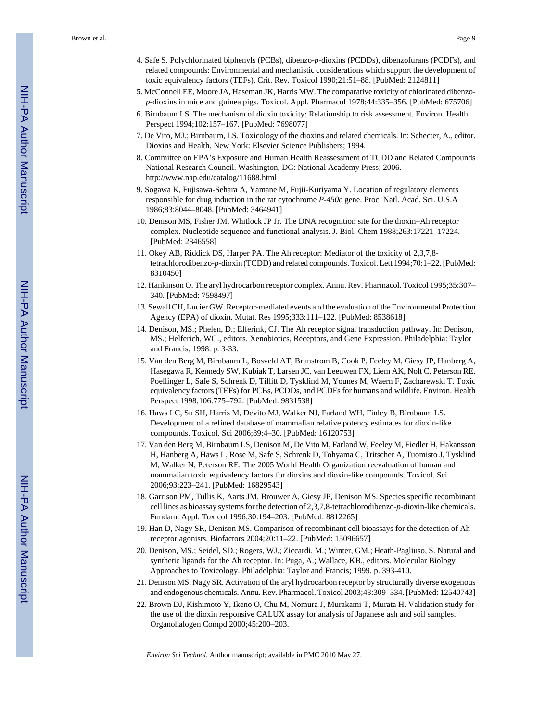Brown et al. Page 9

- 5. McConnell EE, Moore JA, Haseman JK, Harris MW. The comparative toxicity of chlorinated dibenzo*p*-dioxins in mice and guinea pigs. Toxicol. Appl. Pharmacol 1978;44:335–356. [PubMed: 675706]
- 6. Birnbaum LS. The mechanism of dioxin toxicity: Relationship to risk assessment. Environ. Health Perspect 1994;102:157–167. [PubMed: 7698077]
- 7. De Vito, MJ.; Birnbaum, LS. Toxicology of the dioxins and related chemicals. In: Schecter, A., editor. Dioxins and Health. New York: Elsevier Science Publishers; 1994.
- 8. Committee on EPA's Exposure and Human Health Reassessment of TCDD and Related Compounds National Research Council. Washington, DC: National Academy Press; 2006. <http://www.nap.edu/catalog/11688.html>
- 9. Sogawa K, Fujisawa-Sehara A, Yamane M, Fujii-Kuriyama Y. Location of regulatory elements responsible for drug induction in the rat cytochrome *P-450c* gene. Proc. Natl. Acad. Sci. U.S.A 1986;83:8044–8048. [PubMed: 3464941]
- 10. Denison MS, Fisher JM, Whitlock JP Jr. The DNA recognition site for the dioxin–Ah receptor complex. Nucleotide sequence and functional analysis. J. Biol. Chem 1988;263:17221–17224. [PubMed: 2846558]
- 11. Okey AB, Riddick DS, Harper PA. The Ah receptor: Mediator of the toxicity of 2,3,7,8 tetrachlorodibenzo-*p*-dioxin (TCDD) and related compounds. Toxicol. Lett 1994;70:1–22. [PubMed: 8310450]
- 12. Hankinson O. The aryl hydrocarbon receptor complex. Annu. Rev. Pharmacol. Toxicol 1995;35:307– 340. [PubMed: 7598497]
- 13. Sewall CH, Lucier GW. Receptor-mediated events and the evaluation of the Environmental Protection Agency (EPA) of dioxin. Mutat. Res 1995;333:111–122. [PubMed: 8538618]
- 14. Denison, MS.; Phelen, D.; Elferink, CJ. The Ah receptor signal transduction pathway. In: Denison, MS.; Helferich, WG., editors. Xenobiotics, Receptors, and Gene Expression. Philadelphia: Taylor and Francis; 1998. p. 3-33.
- 15. Van den Berg M, Birnbaum L, Bosveld AT, Brunstrom B, Cook P, Feeley M, Giesy JP, Hanberg A, Hasegawa R, Kennedy SW, Kubiak T, Larsen JC, van Leeuwen FX, Liem AK, Nolt C, Peterson RE, Poellinger L, Safe S, Schrenk D, Tillitt D, Tysklind M, Younes M, Waern F, Zacharewski T. Toxic equivalency factors (TEFs) for PCBs, PCDDs, and PCDFs for humans and wildlife. Environ. Health Perspect 1998;106:775–792. [PubMed: 9831538]
- 16. Haws LC, Su SH, Harris M, Devito MJ, Walker NJ, Farland WH, Finley B, Birnbaum LS. Development of a refined database of mammalian relative potency estimates for dioxin-like compounds. Toxicol. Sci 2006;89:4–30. [PubMed: 16120753]
- 17. Van den Berg M, Birnbaum LS, Denison M, De Vito M, Farland W, Feeley M, Fiedler H, Hakansson H, Hanberg A, Haws L, Rose M, Safe S, Schrenk D, Tohyama C, Tritscher A, Tuomisto J, Tysklind M, Walker N, Peterson RE. The 2005 World Health Organization reevaluation of human and mammalian toxic equivalency factors for dioxins and dioxin-like compounds. Toxicol. Sci 2006;93:223–241. [PubMed: 16829543]
- 18. Garrison PM, Tullis K, Aarts JM, Brouwer A, Giesy JP, Denison MS. Species specific recombinant cell lines as bioassay systems for the detection of 2,3,7,8-tetrachlorodibenzo-*p*-dioxin-like chemicals. Fundam. Appl. Toxicol 1996;30:194–203. [PubMed: 8812265]
- 19. Han D, Nagy SR, Denison MS. Comparison of recombinant cell bioassays for the detection of Ah receptor agonists. Biofactors 2004;20:11–22. [PubMed: 15096657]
- 20. Denison, MS.; Seidel, SD.; Rogers, WJ.; Ziccardi, M.; Winter, GM.; Heath-Pagliuso, S. Natural and synthetic ligands for the Ah receptor. In: Puga, A.; Wallace, KB., editors. Molecular Biology Approaches to Toxicology. Philadelphia: Taylor and Francis; 1999. p. 393-410.
- 21. Denison MS, Nagy SR. Activation of the aryl hydrocarbon receptor by structurally diverse exogenous and endogenous chemicals. Annu. Rev. Pharmacol. Toxicol 2003;43:309–334. [PubMed: 12540743]
- 22. Brown DJ, Kishimoto Y, Ikeno O, Chu M, Nomura J, Murakami T, Murata H. Validation study for the use of the dioxin responsive CALUX assay for analysis of Japanese ash and soil samples. Organohalogen Compd 2000;45:200–203.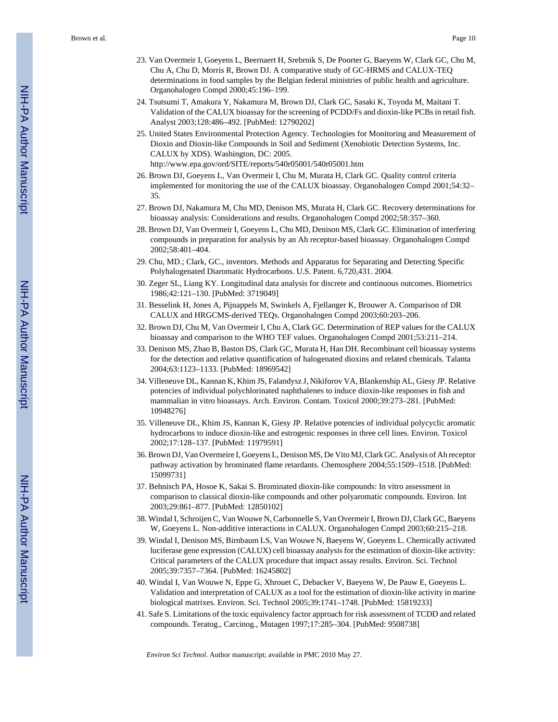- 23. Van Overmeir I, Goeyens L, Beernaert H, Srebrnik S, De Poorter G, Baeyens W, Clark GC, Chu M, Chu A, Chu D, Morris R, Brown DJ. A comparative study of GC-HRMS and CALUX-TEQ determinations in food samples by the Belgian federal ministries of public health and agriculture. Organohalogen Compd 2000;45:196–199.
- 24. Tsutsumi T, Amakura Y, Nakamura M, Brown DJ, Clark GC, Sasaki K, Toyoda M, Maitani T. Validation of the CALUX bioassay for the screening of PCDD/Fs and dioxin-like PCBs in retail fish. Analyst 2003;128:486–492. [PubMed: 12790202]
- 25. United States Environmental Protection Agency. Technologies for Monitoring and Measurement of Dioxin and Dioxin-like Compounds in Soil and Sediment (Xenobiotic Detection Systems, Inc. CALUX by XDS). Washington, DC: 2005. <http://www.epa.gov/ord/SITE/reports/540r05001/540r05001.htm>
- 26. Brown DJ, Goeyens L, Van Overmeir I, Chu M, Murata H, Clark GC. Quality control criteria implemented for monitoring the use of the CALUX bioassay. Organohalogen Compd 2001;54:32– 35.
- 27. Brown DJ, Nakamura M, Chu MD, Denison MS, Murata H, Clark GC. Recovery determinations for bioassay analysis: Considerations and results. Organohalogen Compd 2002;58:357–360.
- 28. Brown DJ, Van Overmeir I, Goeyens L, Chu MD, Denison MS, Clark GC. Elimination of interfering compounds in preparation for analysis by an Ah receptor-based bioassay. Organohalogen Compd 2002;58:401–404.
- 29. Chu, MD.; Clark, GC., inventors. Methods and Apparatus for Separating and Detecting Specific Polyhalogenated Diaromatic Hydrocarbons. U.S. Patent. 6,720,431. 2004.
- 30. Zeger SL, Liang KY. Longitudinal data analysis for discrete and continuous outcomes. Biometrics 1986;42:121–130. [PubMed: 3719049]
- 31. Besselink H, Jones A, Pijnappels M, Swinkels A, Fjellanger K, Brouwer A. Comparison of DR CALUX and HRGCMS-derived TEQs. Organohalogen Compd 2003;60:203–206.
- 32. Brown DJ, Chu M, Van Overmeir I, Chu A, Clark GC. Determination of REP values for the CALUX bioassay and comparison to the WHO TEF values. Organohalogen Compd 2001;53:211–214.
- 33. Denison MS, Zhao B, Baston DS, Clark GC, Murata H, Han DH. Recombinant cell bioassay systems for the detection and relative quantification of halogenated dioxins and related chemicals. Talanta 2004;63:1123–1133. [PubMed: 18969542]
- 34. Villeneuve DL, Kannan K, Khim JS, Falandysz J, Nikiforov VA, Blankenship AL, Giesy JP. Relative potencies of individual polychlorinated naphthalenes to induce dioxin-like responses in fish and mammalian in vitro bioassays. Arch. Environ. Contam. Toxicol 2000;39:273–281. [PubMed: 10948276]
- 35. Villeneuve DL, Khim JS, Kannan K, Giesy JP. Relative potencies of individual polycyclic aromatic hydrocarbons to induce dioxin-like and estrogenic responses in three cell lines. Environ. Toxicol 2002;17:128–137. [PubMed: 11979591]
- 36. Brown DJ, Van Overmeire I, Goeyens L, Denison MS, De Vito MJ, Clark GC. Analysis of Ah receptor pathway activation by brominated flame retardants. Chemosphere 2004;55:1509–1518. [PubMed: 15099731]
- 37. Behnisch PA, Hosoe K, Sakai S. Brominated dioxin-like compounds: In vitro assessment in comparison to classical dioxin-like compounds and other polyaromatic compounds. Environ. Int 2003;29:861–877. [PubMed: 12850102]
- 38. Windal I, Schroijen C, Van Wouwe N, Carbonnelle S, Van Overmeir I, Brown DJ, Clark GC, Baeyens W, Goeyens L. Non-additive interactions in CALUX. Organohalogen Compd 2003;60:215–218.
- 39. Windal I, Denison MS, Birnbaum LS, Van Wouwe N, Baeyens W, Goeyens L. Chemically activated luciferase gene expression (CALUX) cell bioassay analysis for the estimation of dioxin-like activity: Critical parameters of the CALUX procedure that impact assay results. Environ. Sci. Technol 2005;39:7357–7364. [PubMed: 16245802]
- 40. Windal I, Van Wouwe N, Eppe G, Xhrouet C, Debacker V, Baeyens W, De Pauw E, Goeyens L. Validation and interpretation of CALUX as a tool for the estimation of dioxin-like activity in marine biological matrixes. Environ. Sci. Technol 2005;39:1741–1748. [PubMed: 15819233]
- 41. Safe S. Limitations of the toxic equivalency factor approach for risk assessment of TCDD and related compounds. Teratog., Carcinog., Mutagen 1997;17:285–304. [PubMed: 9508738]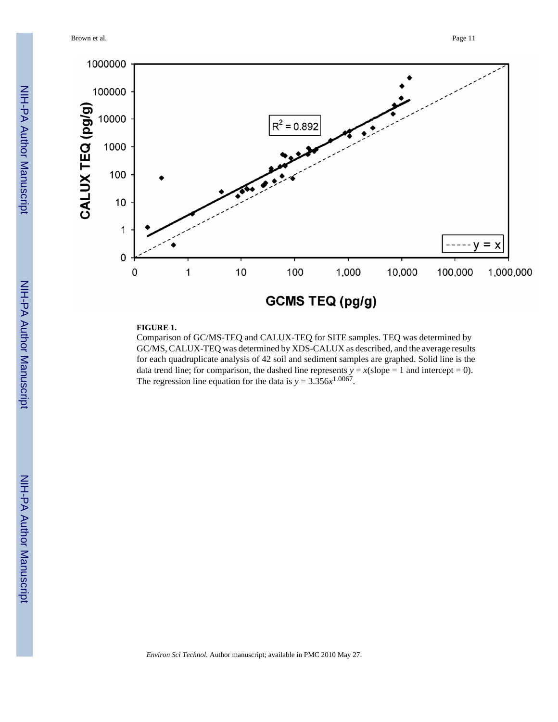Brown et al. Page 11



#### **FIGURE 1.**

Comparison of GC/MS-TEQ and CALUX-TEQ for SITE samples. TEQ was determined by GC/MS, CALUX-TEQ was determined by XDS-CALUX as described, and the average results for each quadruplicate analysis of 42 soil and sediment samples are graphed. Solid line is the data trend line; for comparison, the dashed line represents  $y = x$ (slope = 1 and intercept = 0). The regression line equation for the data is  $y = 3.356x^{1.0067}$ .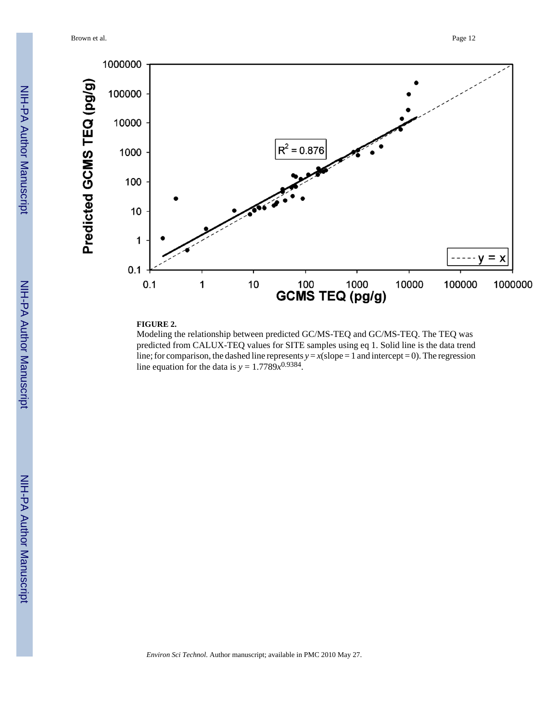

### **FIGURE 2.**

Modeling the relationship between predicted GC/MS-TEQ and GC/MS-TEQ. The TEQ was predicted from CALUX-TEQ values for SITE samples using eq 1. Solid line is the data trend line; for comparison, the dashed line represents  $y = x$ (slope = 1 and intercept = 0). The regression line equation for the data is  $y = 1.7789x^{0.9384}$ .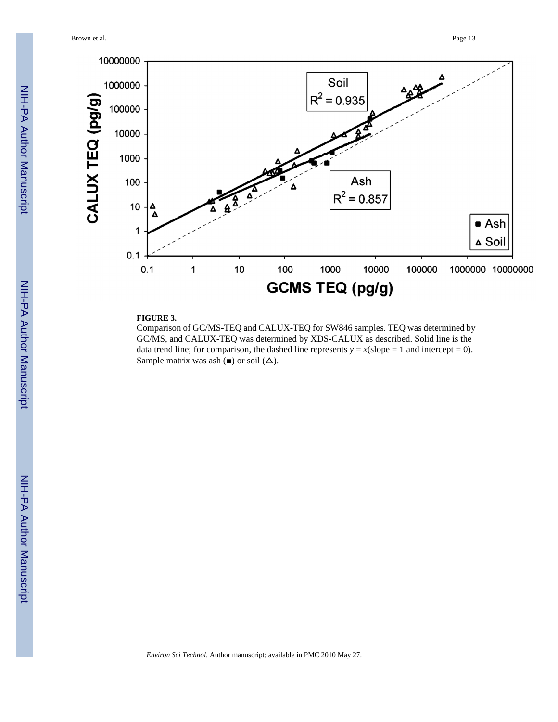

#### **FIGURE 3.**

Comparison of GC/MS-TEQ and CALUX-TEQ for SW846 samples. TEQ was determined by GC/MS, and CALUX-TEQ was determined by XDS-CALUX as described. Solid line is the data trend line; for comparison, the dashed line represents  $y = x$ (slope = 1 and intercept = 0). Sample matrix was ash ( $\blacksquare$ ) or soil ( $\Delta$ ).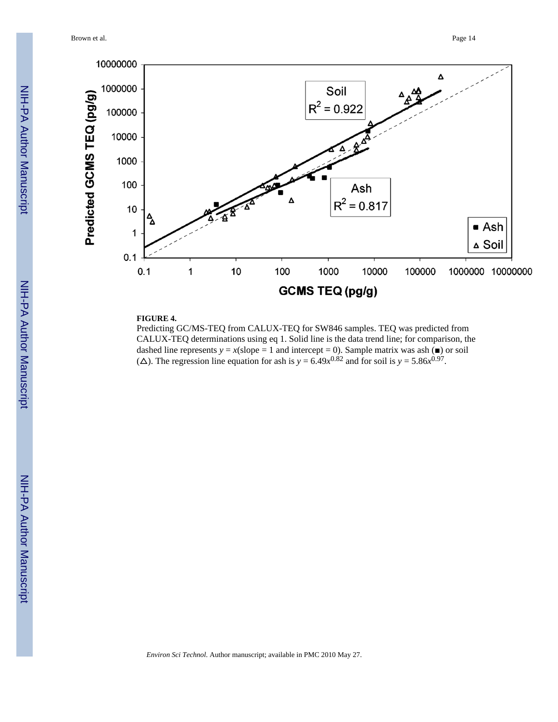Brown et al. Page 14



#### **FIGURE 4.**

Predicting GC/MS-TEQ from CALUX-TEQ for SW846 samples. TEQ was predicted from CALUX-TEQ determinations using eq 1. Solid line is the data trend line; for comparison, the dashed line represents  $y = x$ (slope = 1 and intercept = 0). Sample matrix was ash ( $\blacksquare$ ) or soil ( $\triangle$ ). The regression line equation for ash is *y* = 6.49*x*<sup>0.82</sup> and for soil is *y* = 5.86*x*<sup>0.97</sup>.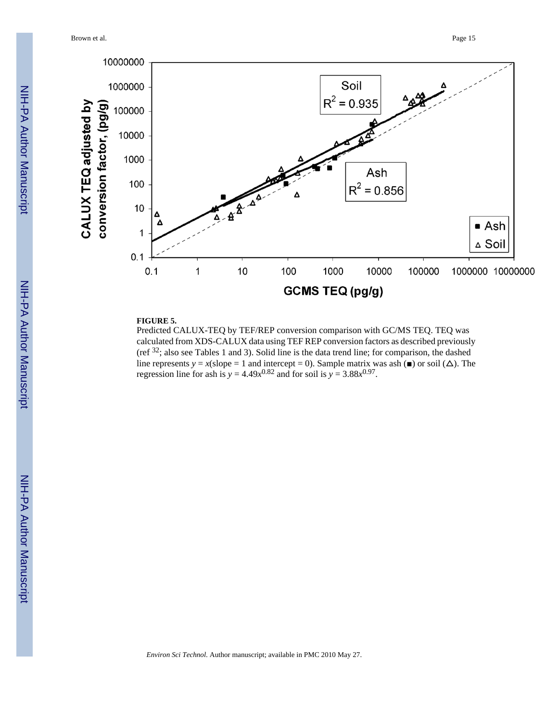Brown et al. Page 15



#### **FIGURE 5.**

Predicted CALUX-TEQ by TEF/REP conversion comparison with GC/MS TEQ. TEQ was calculated from XDS-CALUX data using TEF REP conversion factors as described previously (ref 32; also see Tables 1 and 3). Solid line is the data trend line; for comparison, the dashed line represents  $y = x$ (slope = 1 and intercept = 0). Sample matrix was ash ( $\blacksquare$ ) or soil ( $\triangle$ ). The regression line for ash is  $y = 4.49x^{0.82}$  and for soil is  $y = 3.88x^{0.97}$ .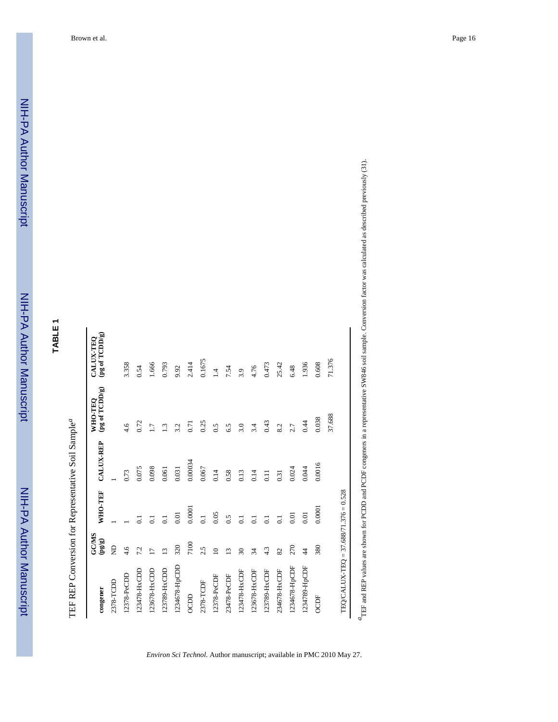# **TABLE 1**

TEF REP Conversion for Representative Soil Sample *a*

| congener                               | GCMS<br>$\left( \frac{5}{6} \right)$ | WHO-TEF          | CALUX-REP         | (pg of TCDD/g)<br><b>WHO-TEO</b> | (pg of TCDD/g)<br>CALUX-TEQ |
|----------------------------------------|--------------------------------------|------------------|-------------------|----------------------------------|-----------------------------|
| 2378-TCDD                              | $\Xi$                                |                  |                   |                                  |                             |
| 12378-PeCDD                            | 4.6                                  |                  | 0.73              | 4.6                              | 3.358                       |
| 123478-HxCDD                           | 7.2                                  | $\overline{0}$   | 0.075             | 0.72                             | 0.54                        |
| 123678-HxCDD                           | $\overline{\phantom{0}}$             | $\overline{c}$   | 0.098             | $\overline{1}$                   | 1.666                       |
| 123789-HxCDD                           | $\overline{c}$                       | $\overline{c}$   | 0.061             | $\mathbf{r}$                     | 0.793                       |
| 1234678-HpCDD                          | 320                                  | 0.01             | 0.031             | 3.2                              | 9.92                        |
| <b>OCDD</b>                            | 7100                                 | 0.0001           | 0.00034           | 0.71                             | 2.414                       |
| 2378-TCDF                              | 2.5                                  | $\overline{0}$ . | 0.067             | 0.25                             | 0.1675                      |
| 12378-PeCDF                            | $\supseteq$                          | 0.05             | 0.14              | 0.5                              | $\ddot{1}$                  |
| 23478-PeCDF                            | $\frac{3}{2}$                        | 0.5              | 0.58              | 6.5                              | 7.54                        |
| 123478-HxCDF                           | $\overline{30}$                      | $\overline{C}$   | 0.13              | 3.0                              | 3.9                         |
| 123678-HxCDF                           | 34                                   | $\overline{c}$   | 0.14              | 3.4                              | 4.76                        |
| 123789-HxCDF                           | 4.3                                  | $\overline{c}$   | $\overline{0.11}$ | 0.43                             | 0.473                       |
| 234678-HxCDF                           | 82                                   | $\overline{c}$   | 0.31              | 8.2                              | 25.42                       |
| 1234678-HpCDF                          | 270                                  | 0.01             | 0.024             | 2.7                              | 6.48                        |
| 1234789-HpCDF                          | $\ddot{4}$                           | 0.01             | 0.044             | 0.44                             | 1.936                       |
| 0CDF                                   | 380                                  | 0.0001           | 0.0016            | 0.038                            | 0.608                       |
|                                        |                                      |                  |                   | 37.688                           | 71.376                      |
| $TEQCALUX-TEQ = 37.688/71.376 = 0.528$ |                                      |                  |                   |                                  |                             |
|                                        |                                      |                  |                   |                                  |                             |

*Environ Sci Technol*. Author manuscript; available in PMC 2010 May 27.

 ${}^{4}$ TEF and REP values are shown for PCDD and PCDF congeners in a representative SW846 soil sample. Conversion factor was calculated as described previously (31). *a*TEF and REP values are shown for PCDD and PCDF congeners in a representative SW846 soil sample. Conversion factor was calculated as described previously (31).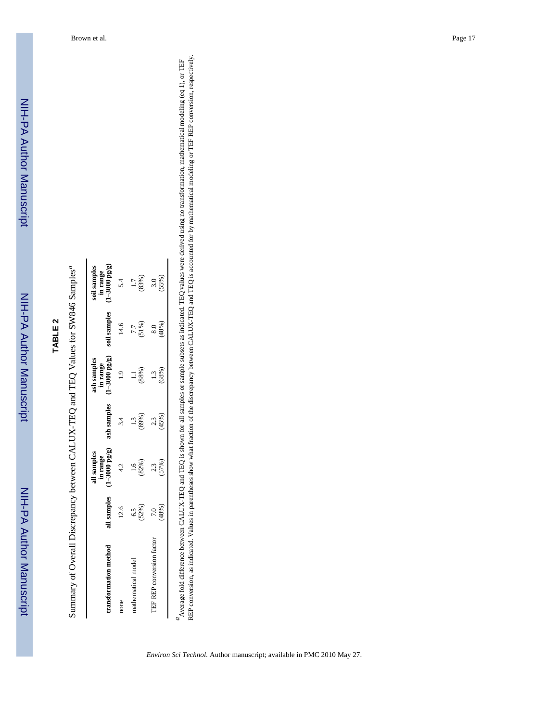# **TABLE 2**

Summary of Overall Discrepancy between CALUX-TEQ and TEQ Values for SW846 Samples *a*

| ansformation methor      | Il samples       | all samples<br>in range<br>1–3000 pg/g) | ash samples        | in range<br>(1–3000 pg/g)<br>ash samples | soil samples       | soil samples<br>in range<br>(1–3000 pg/g) |
|--------------------------|------------------|-----------------------------------------|--------------------|------------------------------------------|--------------------|-------------------------------------------|
| none                     | 12.6             | 4.2                                     | 3.4                |                                          | 14.6               | 5.4                                       |
| athematical model        | $6.5$<br>$(52%)$ | $1.6$<br>(82%)                          | $\frac{1.3}{89\%}$ | $\frac{1.1}{88\%}$                       | $7.7$<br>(51%)     | $\frac{1.7}{(83\%)}$                      |
| EF REP conversion factor | (48%)<br>7.0     | $\frac{2.3}{(57%)}$                     | $2.3$<br>(45%)     | (68%)<br>1.3                             | $\frac{8.0}{48\%}$ | 3.0<br>(55%)                              |

 $^a$ Average fold difference between CALUX-TEQ and TEQ is shown for all samples or sample subsets as indicated. TEQ values were derived using no transformation, mathematical modeling (eq 1), or TEF REP conversion, as indic REP conversion, as indicated. Values in parentheses show what fraction of the discrepancy between CALUX-TEQ and TEQ is accounted for by mathematical modeling or TEF REP conversion, respectively. *a*Average fold difference between CALUX-TEQ and TEQ is shown for all samples or sample subsets as indicated. TEQ values were derived using no transformation, mathematical modeling (eq 1), or TEF